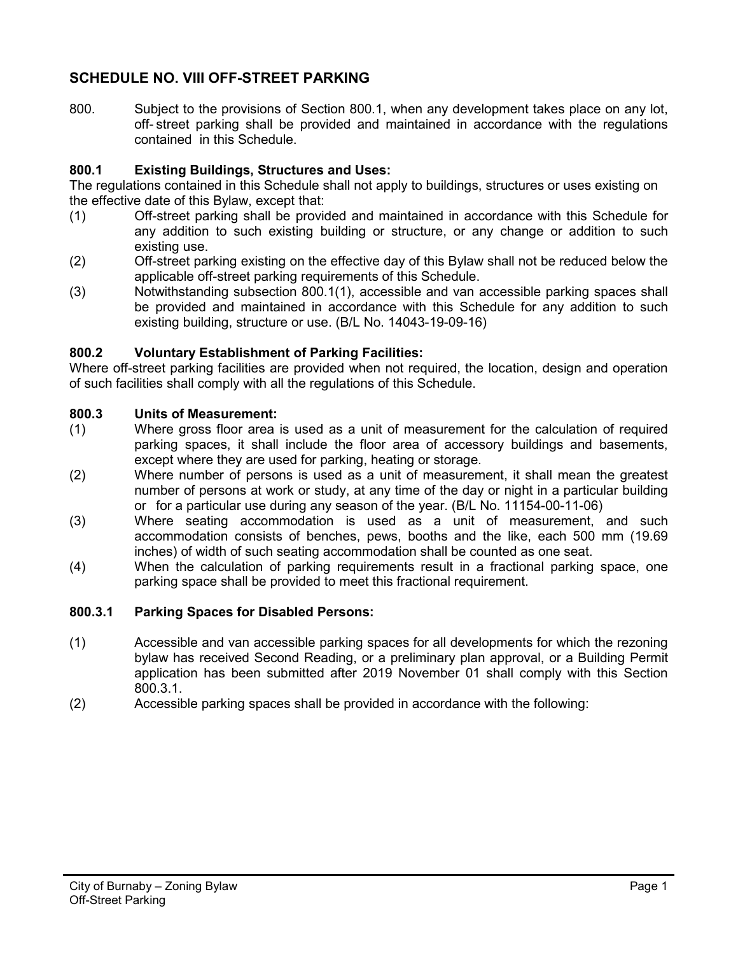# **SCHEDULE NO. VIII OFF-STREET PARKING**

800. Subject to the provisions of Section 800.1, when any development takes place on any lot, off- street parking shall be provided and maintained in accordance with the regulations contained in this Schedule.

## **800.1 Existing Buildings, Structures and Uses:**

The regulations contained in this Schedule shall not apply to buildings, structures or uses existing on the effective date of this Bylaw, except that:

- (1) Off-street parking shall be provided and maintained in accordance with this Schedule for any addition to such existing building or structure, or any change or addition to such existing use.
- (2) Off-street parking existing on the effective day of this Bylaw shall not be reduced below the applicable off-street parking requirements of this Schedule.
- (3) Notwithstanding subsection 800.1(1), accessible and van accessible parking spaces shall be provided and maintained in accordance with this Schedule for any addition to such existing building, structure or use. (B/L No. 14043-19-09-16)

## **800.2 Voluntary Establishment of Parking Facilities:**

Where off-street parking facilities are provided when not required, the location, design and operation of such facilities shall comply with all the regulations of this Schedule.

## **800.3 Units of Measurement:**

- (1) Where gross floor area is used as a unit of measurement for the calculation of required parking spaces, it shall include the floor area of accessory buildings and basements, except where they are used for parking, heating or storage.
- (2) Where number of persons is used as a unit of measurement, it shall mean the greatest number of persons at work or study, at any time of the day or night in a particular building or for a particular use during any season of the year. (B/L No. 11154-00-11-06)
- (3) Where seating accommodation is used as a unit of measurement, and such accommodation consists of benches, pews, booths and the like, each 500 mm (19.69 inches) of width of such seating accommodation shall be counted as one seat.
- (4) When the calculation of parking requirements result in a fractional parking space, one parking space shall be provided to meet this fractional requirement.

## **800.3.1 Parking Spaces for Disabled Persons:**

- (1) Accessible and van accessible parking spaces for all developments for which the rezoning bylaw has received Second Reading, or a preliminary plan approval, or a Building Permit application has been submitted after 2019 November 01 shall comply with this Section 800.3.1.
- (2) Accessible parking spaces shall be provided in accordance with the following: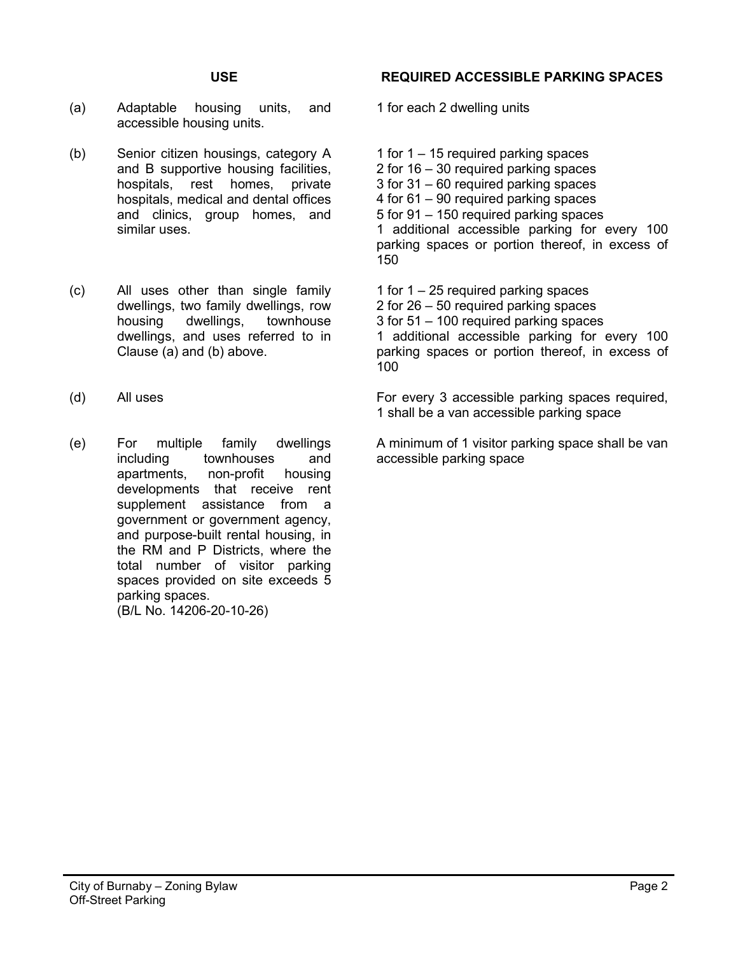- (a) Adaptable housing units, and accessible housing units.
- (b) Senior citizen housings, category A and B supportive housing facilities, hospitals, rest homes, private hospitals, medical and dental offices and clinics, group homes, and similar uses.
- (c) All uses other than single family dwellings, two family dwellings, row housing dwellings, townhouse dwellings, and uses referred to in Clause (a) and (b) above.
- 
- (e) For multiple family dwellings including townhouses and apartments, non-profit housing developments that receive rent supplement assistance from a government or government agency, and purpose-built rental housing, in the RM and P Districts, where the total number of visitor parking spaces provided on site exceeds 5 parking spaces. (B/L No. 14206-20-10-26)

## **USE REQUIRED ACCESSIBLE PARKING SPACES**

1 for each 2 dwelling units

1 for 1 – 15 required parking spaces 2 for 16 – 30 required parking spaces 3 for 31 – 60 required parking spaces 4 for 61 – 90 required parking spaces 5 for 91 – 150 required parking spaces 1 additional accessible parking for every 100 parking spaces or portion thereof, in excess of 150

1 for 1 – 25 required parking spaces 2 for 26 – 50 required parking spaces 3 for 51 – 100 required parking spaces 1 additional accessible parking for every 100 parking spaces or portion thereof, in excess of 100

(d) All uses For every 3 accessible parking spaces required, 1 shall be a van accessible parking space

> A minimum of 1 visitor parking space shall be van accessible parking space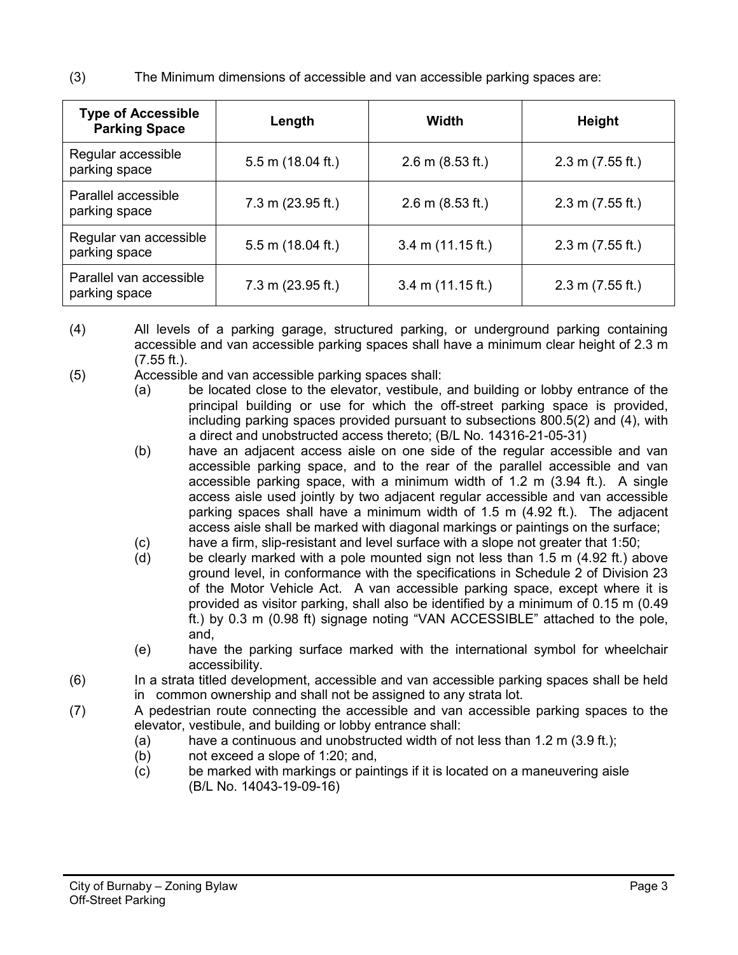(3) The Minimum dimensions of accessible and van accessible parking spaces are:

| <b>Type of Accessible</b><br><b>Parking Space</b> | Length                      | Width                       | <b>Height</b>              |
|---------------------------------------------------|-----------------------------|-----------------------------|----------------------------|
| Regular accessible<br>parking space               | $5.5$ m (18.04 ft.)         | $2.6 \text{ m}$ (8.53 ft.)  | $2.3 \text{ m}$ (7.55 ft.) |
| Parallel accessible<br>parking space              | $7.3 \text{ m}$ (23.95 ft.) | $2.6 \text{ m}$ (8.53 ft.)  | $2.3 \text{ m}$ (7.55 ft.) |
| Regular van accessible<br>parking space           | 5.5 m (18.04 ft.)           | $3.4 \text{ m}$ (11.15 ft.) | $2.3 \text{ m}$ (7.55 ft.) |
| Parallel van accessible<br>parking space          | $7.3$ m (23.95 ft.)         | $3.4 \text{ m}$ (11.15 ft.) | $2.3 \text{ m}$ (7.55 ft.) |

- (4) All levels of a parking garage, structured parking, or underground parking containing accessible and van accessible parking spaces shall have a minimum clear height of 2.3 m  $(7.55 \text{ ft.})$ .
- (5) Accessible and van accessible parking spaces shall:
	- (a) be located close to the elevator, vestibule, and building or lobby entrance of the principal building or use for which the off-street parking space is provided, including parking spaces provided pursuant to subsections 800.5(2) and (4), with a direct and unobstructed access thereto; (B/L No. 14316-21-05-31)
	- (b) have an adjacent access aisle on one side of the regular accessible and van accessible parking space, and to the rear of the parallel accessible and van accessible parking space, with a minimum width of 1.2 m (3.94 ft.). A single access aisle used jointly by two adjacent regular accessible and van accessible parking spaces shall have a minimum width of 1.5 m (4.92 ft.). The adjacent access aisle shall be marked with diagonal markings or paintings on the surface;
	- (c) have a firm, slip-resistant and level surface with a slope not greater that 1:50;<br>(d) be clearly marked with a pole mounted sign not less than 1.5 m (4.92 ft.) at
	- be clearly marked with a pole mounted sign not less than  $1.5$  m (4.92 ft.) above ground level, in conformance with the specifications in Schedule 2 of Division 23 of the Motor Vehicle Act. A van accessible parking space, except where it is provided as visitor parking, shall also be identified by a minimum of 0.15 m (0.49 ft.) by 0.3 m (0.98 ft) signage noting "VAN ACCESSIBLE" attached to the pole, and,
	- (e) have the parking surface marked with the international symbol for wheelchair accessibility.
- (6) In a strata titled development, accessible and van accessible parking spaces shall be held in common ownership and shall not be assigned to any strata lot.
- (7) A pedestrian route connecting the accessible and van accessible parking spaces to the elevator, vestibule, and building or lobby entrance shall:
	- (a) have a continuous and unobstructed width of not less than  $1.2$  m  $(3.9 \text{ ft.})$ ;
	- (b) not exceed a slope of 1:20; and,
	- (c) be marked with markings or paintings if it is located on a maneuvering aisle (B/L No. 14043-19-09-16)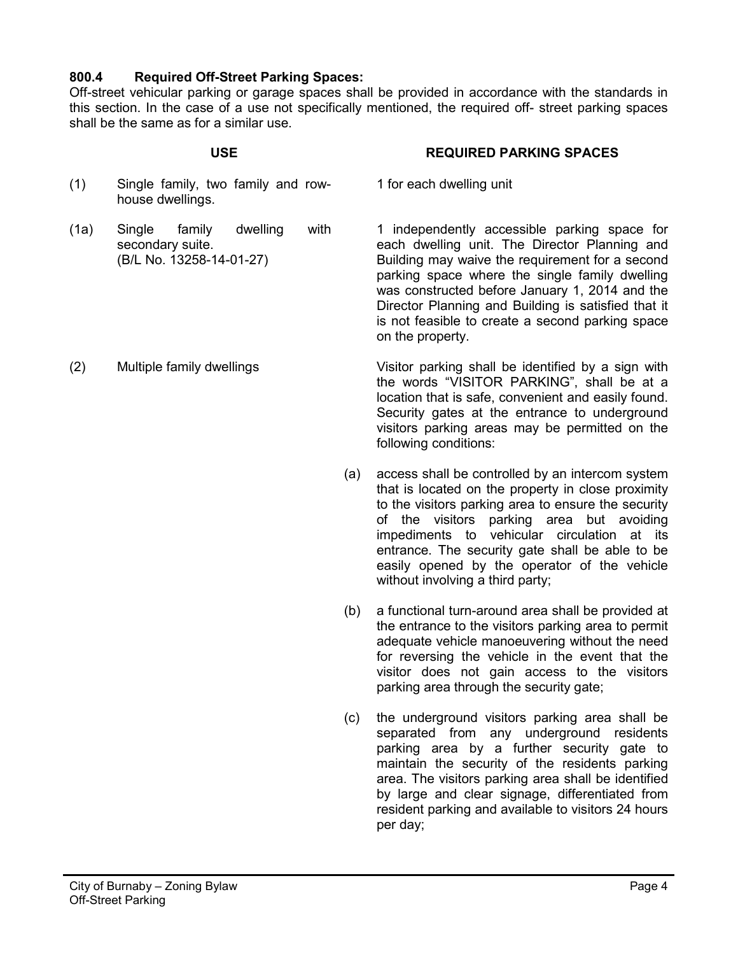## **800.4 Required Off-Street Parking Spaces:**

Off-street vehicular parking or garage spaces shall be provided in accordance with the standards in this section. In the case of a use not specifically mentioned, the required off- street parking spaces shall be the same as for a similar use.

1 for each dwelling unit

### **USE REQUIRED PARKING SPACES**

### (1) Single family, two family and rowhouse dwellings.

- (1a) Single family dwelling with secondary suite. (B/L No. 13258-14-01-27)
- 

1 independently accessible parking space for each dwelling unit. The Director Planning and Building may waive the requirement for a second parking space where the single family dwelling was constructed before January 1, 2014 and the Director Planning and Building is satisfied that it is not feasible to create a second parking space on the property.

(2) Multiple family dwellings Visitor parking shall be identified by a sign with the words "VISITOR PARKING", shall be at a location that is safe, convenient and easily found. Security gates at the entrance to underground visitors parking areas may be permitted on the following conditions:

- (a) access shall be controlled by an intercom system that is located on the property in close proximity to the visitors parking area to ensure the security of the visitors parking area but avoiding impediments to vehicular circulation at its entrance. The security gate shall be able to be easily opened by the operator of the vehicle without involving a third party;
- (b) a functional turn-around area shall be provided at the entrance to the visitors parking area to permit adequate vehicle manoeuvering without the need for reversing the vehicle in the event that the visitor does not gain access to the visitors parking area through the security gate;
- (c) the underground visitors parking area shall be separated from any underground residents parking area by a further security gate to maintain the security of the residents parking area. The visitors parking area shall be identified by large and clear signage, differentiated from resident parking and available to visitors 24 hours per day;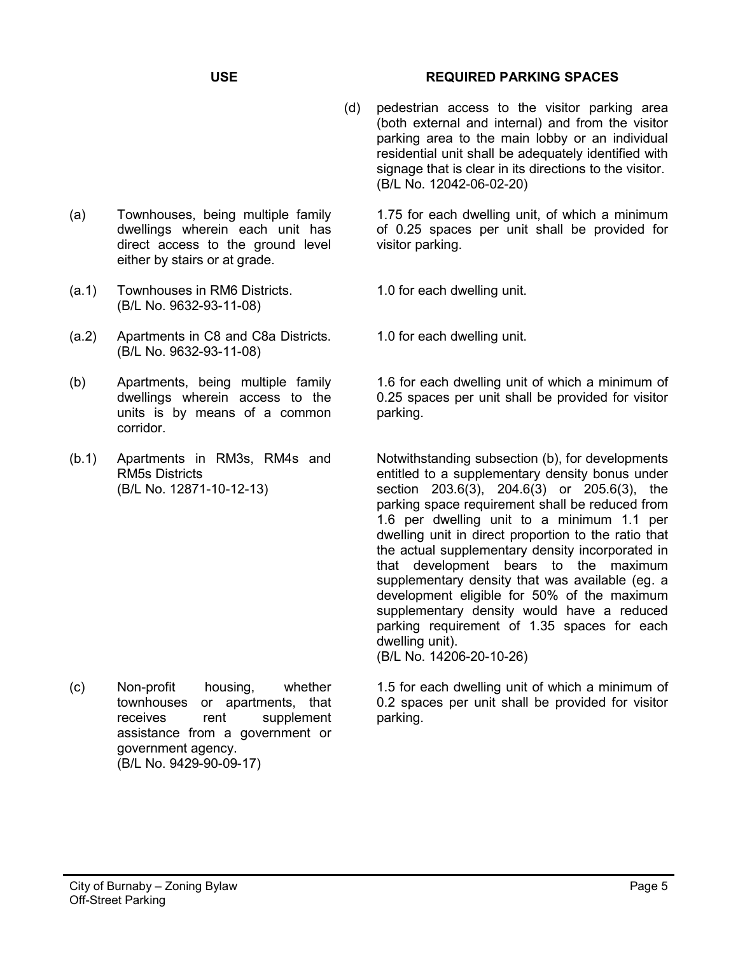- (a) Townhouses, being multiple family dwellings wherein each unit has direct access to the ground level either by stairs or at grade.
- (a.1) Townhouses in RM6 Districts. (B/L No. 9632-93-11-08)
- (a.2) Apartments in C8 and C8a Districts. (B/L No. 9632-93-11-08)
- (b) Apartments, being multiple family dwellings wherein access to the units is by means of a common corridor.
- (b.1) Apartments in RM3s, RM4s and RM5s Districts (B/L No. 12871-10-12-13)

(c) Non-profit housing, whether townhouses or apartments, that receives rent supplement assistance from a government or government agency. (B/L No. 9429-90-09-17)

## **USE REQUIRED PARKING SPACES**

(d) pedestrian access to the visitor parking area (both external and internal) and from the visitor parking area to the main lobby or an individual residential unit shall be adequately identified with signage that is clear in its directions to the visitor. (B/L No. 12042-06-02-20)

1.75 for each dwelling unit, of which a minimum of 0.25 spaces per unit shall be provided for visitor parking.

- 1.0 for each dwelling unit.
- 1.0 for each dwelling unit.

1.6 for each dwelling unit of which a minimum of 0.25 spaces per unit shall be provided for visitor parking.

Notwithstanding subsection (b), for developments entitled to a supplementary density bonus under section 203.6(3), 204.6(3) or 205.6(3), the parking space requirement shall be reduced from 1.6 per dwelling unit to a minimum 1.1 per dwelling unit in direct proportion to the ratio that the actual supplementary density incorporated in that development bears to the maximum supplementary density that was available (eg. a development eligible for 50% of the maximum supplementary density would have a reduced parking requirement of 1.35 spaces for each dwelling unit).

(B/L No. 14206-20-10-26)

1.5 for each dwelling unit of which a minimum of 0.2 spaces per unit shall be provided for visitor parking.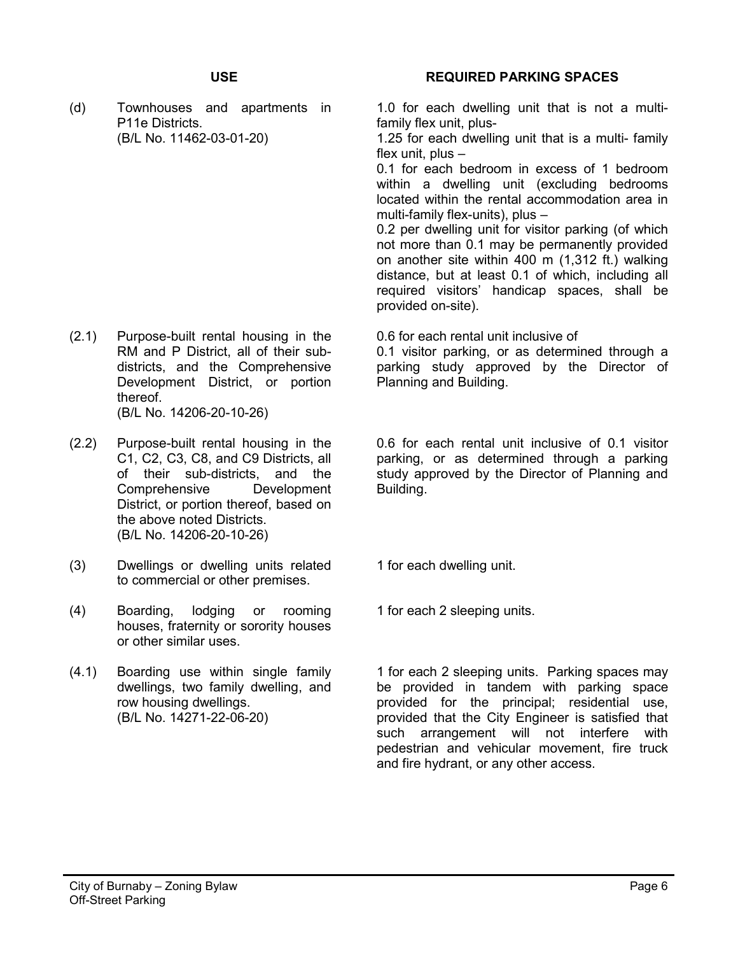(d) Townhouses and apartments in P11e Districts. (B/L No. 11462-03-01-20)

- (2.1) Purpose-built rental housing in the RM and P District, all of their subdistricts, and the Comprehensive Development District, or portion thereof. (B/L No. 14206-20-10-26)
- (2.2) Purpose-built rental housing in the C1, C2, C3, C8, and C9 Districts, all of their sub-districts, and the Comprehensive Development District, or portion thereof, based on the above noted Districts. (B/L No. 14206-20-10-26)
- (3) Dwellings or dwelling units related to commercial or other premises.
- (4) Boarding, lodging or rooming houses, fraternity or sorority houses or other similar uses.
- (4.1) Boarding use within single family dwellings, two family dwelling, and row housing dwellings. (B/L No. 14271-22-06-20)

## **USE REQUIRED PARKING SPACES**

1.0 for each dwelling unit that is not a multifamily flex unit, plus-

1.25 for each dwelling unit that is a multi- family flex unit, plus –

0.1 for each bedroom in excess of 1 bedroom within a dwelling unit (excluding bedrooms located within the rental accommodation area in multi-family flex-units), plus –

0.2 per dwelling unit for visitor parking (of which not more than 0.1 may be permanently provided on another site within 400 m (1,312 ft.) walking distance, but at least 0.1 of which, including all required visitors' handicap spaces, shall be provided on-site).

0.6 for each rental unit inclusive of

0.1 visitor parking, or as determined through a parking study approved by the Director of Planning and Building.

0.6 for each rental unit inclusive of 0.1 visitor parking, or as determined through a parking study approved by the Director of Planning and Building.

- 1 for each dwelling unit.
- 1 for each 2 sleeping units.

1 for each 2 sleeping units. Parking spaces may be provided in tandem with parking space provided for the principal; residential use, provided that the City Engineer is satisfied that such arrangement will not interfere with pedestrian and vehicular movement, fire truck and fire hydrant, or any other access.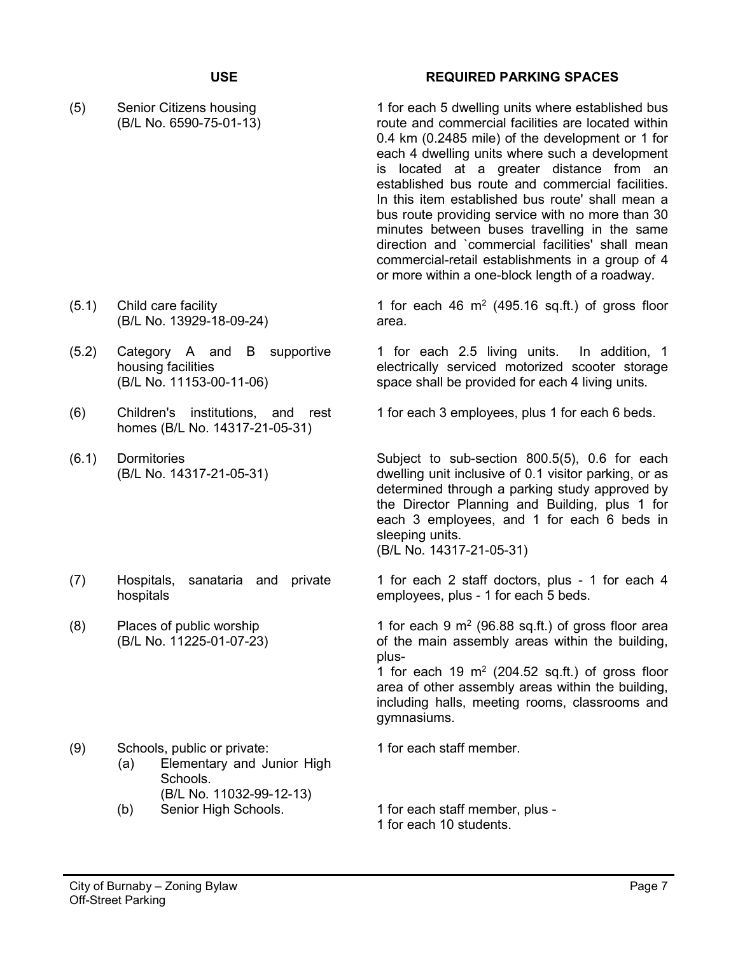(5) Senior Citizens housing (B/L No. 6590-75-01-13)

- (5.1) Child care facility (B/L No. 13929-18-09-24)
- (5.2) Category A and B supportive housing facilities (B/L No. 11153-00-11-06)
- (6) Children's institutions, and rest homes (B/L No. 14317-21-05-31)
- (6.1) Dormitories (B/L No. 14317-21-05-31)
- (7) Hospitals, sanataria and private hospitals
- (8) Places of public worship (B/L No. 11225-01-07-23)

### **USE REQUIRED PARKING SPACES**

1 for each 5 dwelling units where established bus route and commercial facilities are located within 0.4 km (0.2485 mile) of the development or 1 for each 4 dwelling units where such a development is located at a greater distance from an established bus route and commercial facilities. In this item established bus route' shall mean a bus route providing service with no more than 30 minutes between buses travelling in the same direction and `commercial facilities' shall mean commercial-retail establishments in a group of 4 or more within a one-block length of a roadway.

1 for each 46  $m<sup>2</sup>$  (495.16 sq.ft.) of gross floor area.

1 for each 2.5 living units. In addition, 1 electrically serviced motorized scooter storage space shall be provided for each 4 living units.

1 for each 3 employees, plus 1 for each 6 beds.

Subject to sub-section 800.5(5), 0.6 for each dwelling unit inclusive of 0.1 visitor parking, or as determined through a parking study approved by the Director Planning and Building, plus 1 for each 3 employees, and 1 for each 6 beds in sleeping units. (B/L No. 14317-21-05-31)

1 for each 2 staff doctors, plus - 1 for each 4 employees, plus - 1 for each 5 beds.

1 for each 9  $m<sup>2</sup>$  (96.88 sq.ft.) of gross floor area of the main assembly areas within the building, plus-

1 for each 19  $m<sup>2</sup>$  (204.52 sq.ft.) of gross floor area of other assembly areas within the building, including halls, meeting rooms, classrooms and gymnasiums.

(9) Schools, public or private: 1 for each staff member. (a) Elementary and Junior High Schools. (B/L No. 11032-99-12-13) (b) Senior High Schools. 1 for each staff member, plus -1 for each 10 students.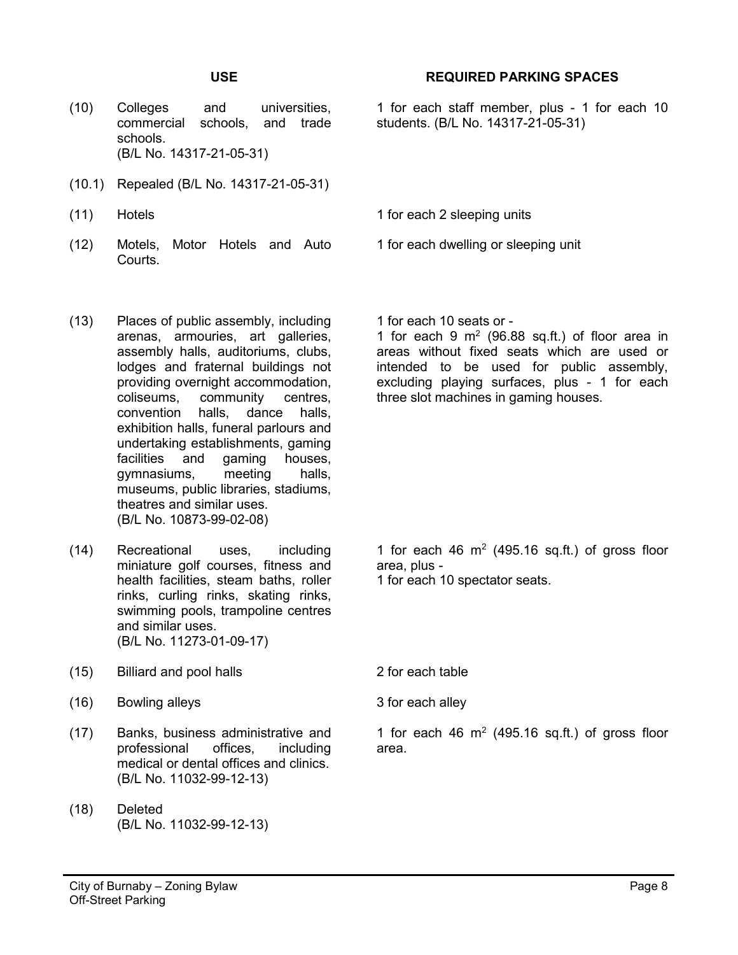- (10) Colleges and universities, commercial schools, and trade schools. (B/L No. 14317-21-05-31)
- (10.1) Repealed (B/L No. 14317-21-05-31)
- (11) Hotels **1** for each 2 sleeping units
- (12) Motels, Motor Hotels and Auto Courts.

## **USE REQUIRED PARKING SPACES**

1 for each staff member, plus - 1 for each 10 students. (B/L No. 14317-21-05-31)

1 for each 10 seats or -

1 for each dwelling or sleeping unit

1 for each 9  $m<sup>2</sup>$  (96.88 sq.ft.) of floor area in areas without fixed seats which are used or intended to be used for public assembly, excluding playing surfaces, plus - 1 for each three slot machines in gaming houses.

- (13) Places of public assembly, including arenas, armouries, art galleries, assembly halls, auditoriums, clubs, lodges and fraternal buildings not providing overnight accommodation, coliseums, community centres,<br>convention halls, dance halls, dance halls, exhibition halls, funeral parlours and undertaking establishments, gaming facilities and gaming houses, gymnasiums, meeting halls, museums, public libraries, stadiums, theatres and similar uses. (B/L No. 10873-99-02-08)
- (14) Recreational uses, including miniature golf courses, fitness and health facilities, steam baths, roller rinks, curling rinks, skating rinks, swimming pools, trampoline centres and similar uses. (B/L No. 11273-01-09-17)
- (15) Billiard and pool halls 2 for each table
- (16) Bowling alleys 3 for each alley
- (17) Banks, business administrative and professional offices, including medical or dental offices and clinics. (B/L No. 11032-99-12-13)
- (18) Deleted (B/L No. 11032-99-12-13)

1 for each 46  $m<sup>2</sup>$  (495.16 sq.ft.) of gross floor area, plus - 1 for each 10 spectator seats.

- 
- 

1 for each 46  $m<sup>2</sup>$  (495.16 sq.ft.) of gross floor area.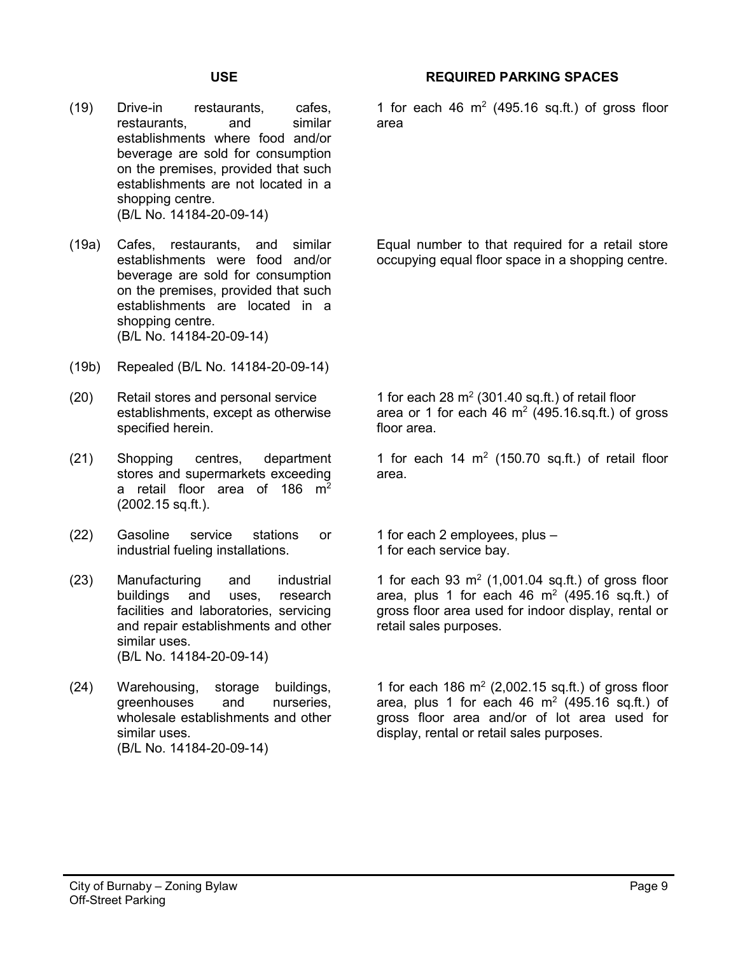(19) Drive-in restaurants, cafes, restaurants, and similar establishments where food and/or beverage are sold for consumption on the premises, provided that such establishments are not located in a shopping centre. (B/L No. 14184-20-09-14)

(19a) Cafes, restaurants, and similar establishments were food and/or beverage are sold for consumption on the premises, provided that such establishments are located in a shopping centre. (B/L No. 14184-20-09-14)

- (19b) Repealed (B/L No. 14184-20-09-14)
- (20) Retail stores and personal service establishments, except as otherwise specified herein.
- (21) Shopping centres, department stores and supermarkets exceeding a retail floor area of 186  $m<sup>2</sup>$ (2002.15 sq.ft.).
- (22) Gasoline service stations or industrial fueling installations.
- (23) Manufacturing and industrial buildings and uses, research facilities and laboratories, servicing and repair establishments and other similar uses. (B/L No. 14184-20-09-14)
- (24) Warehousing, storage buildings, greenhouses and nurseries, wholesale establishments and other similar uses. (B/L No. 14184-20-09-14)

## **USE REQUIRED PARKING SPACES**

1 for each 46  $m<sup>2</sup>$  (495.16 sq.ft.) of gross floor area

Equal number to that required for a retail store occupying equal floor space in a shopping centre.

1 for each 28  $m<sup>2</sup>$  (301.40 sq.ft.) of retail floor area or 1 for each 46  $m<sup>2</sup>$  (495.16.sq.ft.) of gross floor area.

1 for each 14  $m<sup>2</sup>$  (150.70 sq.ft.) of retail floor area.

1 for each 2 employees, plus – 1 for each service bay.

1 for each 93  $m^2$  (1,001.04 sq.ft.) of gross floor area, plus 1 for each 46  $m<sup>2</sup>$  (495.16 sq.ft.) of gross floor area used for indoor display, rental or retail sales purposes.

1 for each 186  $m<sup>2</sup>$  (2,002.15 sq.ft.) of gross floor area, plus 1 for each 46  $m<sup>2</sup>$  (495.16 sq.ft.) of gross floor area and/or of lot area used for display, rental or retail sales purposes.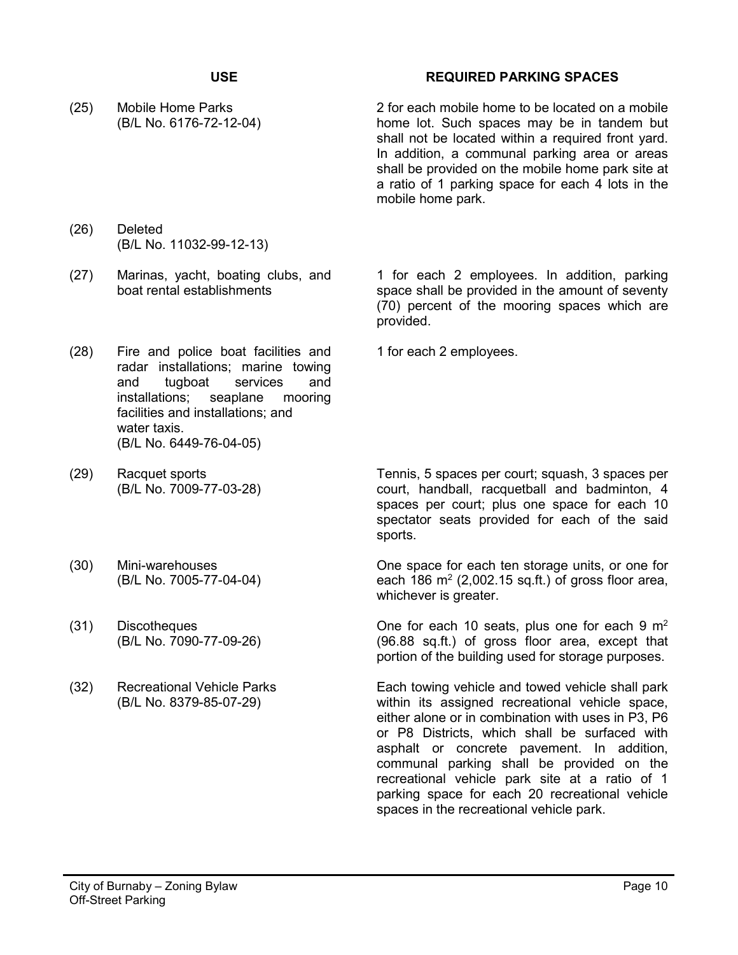(25) Mobile Home Parks (B/L No. 6176-72-12-04)

## **USE REQUIRED PARKING SPACES**

2 for each mobile home to be located on a mobile home lot. Such spaces may be in tandem but shall not be located within a required front yard. In addition, a communal parking area or areas shall be provided on the mobile home park site at a ratio of 1 parking space for each 4 lots in the mobile home park.

- (26) Deleted (B/L No. 11032-99-12-13)
- (27) Marinas, yacht, boating clubs, and boat rental establishments
- 1 for each 2 employees. In addition, parking space shall be provided in the amount of seventy (70) percent of the mooring spaces which are provided.

1 for each 2 employees.

- (28) Fire and police boat facilities and radar installations; marine towing and tugboat services and installations; seaplane mooring facilities and installations; and water taxis. (B/L No. 6449-76-04-05)
- (29) Racquet sports (B/L No. 7009-77-03-28)
- (30) Mini-warehouses (B/L No. 7005-77-04-04)
- (31) Discotheques (B/L No. 7090-77-09-26)
- (32) Recreational Vehicle Parks (B/L No. 8379-85-07-29)

Tennis, 5 spaces per court; squash, 3 spaces per court, handball, racquetball and badminton, 4 spaces per court; plus one space for each 10 spectator seats provided for each of the said sports.

One space for each ten storage units, or one for each 186  $m^2$  (2,002.15 sq.ft.) of gross floor area, whichever is greater.

One for each 10 seats, plus one for each 9  $m<sup>2</sup>$ (96.88 sq.ft.) of gross floor area, except that portion of the building used for storage purposes.

Each towing vehicle and towed vehicle shall park within its assigned recreational vehicle space, either alone or in combination with uses in P3, P6 or P8 Districts, which shall be surfaced with asphalt or concrete pavement. In addition, communal parking shall be provided on the recreational vehicle park site at a ratio of 1 parking space for each 20 recreational vehicle spaces in the recreational vehicle park.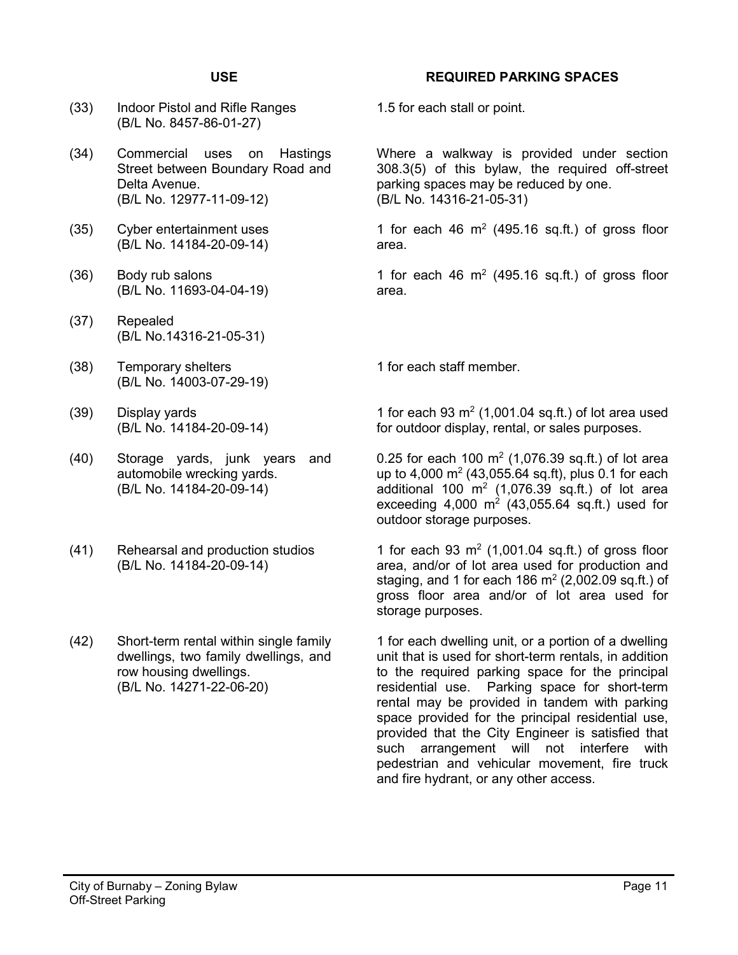- (33) Indoor Pistol and Rifle Ranges (B/L No. 8457-86-01-27)
- (34) Commercial uses on Hastings Street between Boundary Road and Delta Avenue. (B/L No. 12977-11-09-12)
- (35) Cyber entertainment uses (B/L No. 14184-20-09-14)
- (36) Body rub salons (B/L No. 11693-04-04-19)
- (37) Repealed (B/L No.14316-21-05-31)
- (38) Temporary shelters (B/L No. 14003-07-29-19)
- (39) Display yards (B/L No. 14184-20-09-14)
- (40) Storage yards, junk years and automobile wrecking yards. (B/L No. 14184-20-09-14)
- (41) Rehearsal and production studios (B/L No. 14184-20-09-14)
- (42) Short-term rental within single family dwellings, two family dwellings, and row housing dwellings. (B/L No. 14271-22-06-20)

### **USE REQUIRED PARKING SPACES**

1.5 for each stall or point.

Where a walkway is provided under section 308.3(5) of this bylaw, the required off-street parking spaces may be reduced by one. (B/L No. 14316-21-05-31)

1 for each 46  $m<sup>2</sup>$  (495.16 sq.ft.) of gross floor area.

1 for each 46  $m<sup>2</sup>$  (495.16 sq.ft.) of gross floor area.

1 for each staff member.

1 for each  $93 \text{ m}^2$  (1,001.04 sq.ft.) of lot area used for outdoor display, rental, or sales purposes.

0.25 for each 100  $m^2$  (1,076.39 sq.ft.) of lot area up to 4,000  $\text{m}^2$  (43,055.64 sq.ft), plus 0.1 for each additional 100  $m^2$  (1,076.39 sq.ft.) of lot area exceeding 4,000  $m^2$  (43,055.64 sq.ft.) used for outdoor storage purposes.

1 for each 93  $m^2$  (1,001.04 sq.ft.) of gross floor area, and/or of lot area used for production and staging, and 1 for each 186  $m<sup>2</sup>$  (2,002.09 sq.ft.) of gross floor area and/or of lot area used for storage purposes.

1 for each dwelling unit, or a portion of a dwelling unit that is used for short-term rentals, in addition to the required parking space for the principal residential use. Parking space for short-term rental may be provided in tandem with parking space provided for the principal residential use, provided that the City Engineer is satisfied that such arrangement will not interfere with pedestrian and vehicular movement, fire truck and fire hydrant, or any other access.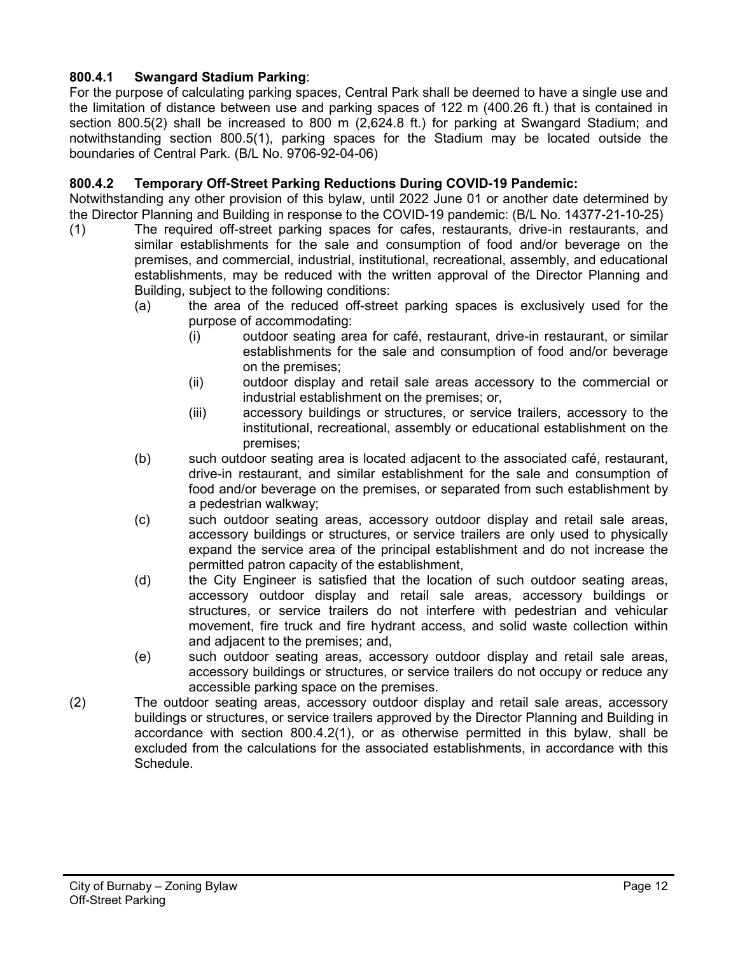## **800.4.1 Swangard Stadium Parking**:

For the purpose of calculating parking spaces, Central Park shall be deemed to have a single use and the limitation of distance between use and parking spaces of 122 m (400.26 ft.) that is contained in section 800.5(2) shall be increased to 800 m (2,624.8 ft.) for parking at Swangard Stadium; and notwithstanding section 800.5(1), parking spaces for the Stadium may be located outside the boundaries of Central Park. (B/L No. 9706-92-04-06)

## **800.4.2 Temporary Off-Street Parking Reductions During COVID-19 Pandemic:**

Notwithstanding any other provision of this bylaw, until 2022 June 01 or another date determined by the Director Planning and Building in response to the COVID-19 pandemic: (B/L No. 14377-21-10-25)

- (1) The required off-street parking spaces for cafes, restaurants, drive-in restaurants, and similar establishments for the sale and consumption of food and/or beverage on the premises, and commercial, industrial, institutional, recreational, assembly, and educational establishments, may be reduced with the written approval of the Director Planning and Building, subject to the following conditions:
	- (a) the area of the reduced off-street parking spaces is exclusively used for the purpose of accommodating:
		- (i) outdoor seating area for café, restaurant, drive-in restaurant, or similar establishments for the sale and consumption of food and/or beverage on the premises;
		- (ii) outdoor display and retail sale areas accessory to the commercial or industrial establishment on the premises; or,
		- (iii) accessory buildings or structures, or service trailers, accessory to the institutional, recreational, assembly or educational establishment on the premises;
	- (b) such outdoor seating area is located adjacent to the associated café, restaurant, drive-in restaurant, and similar establishment for the sale and consumption of food and/or beverage on the premises, or separated from such establishment by a pedestrian walkway;
	- (c) such outdoor seating areas, accessory outdoor display and retail sale areas, accessory buildings or structures, or service trailers are only used to physically expand the service area of the principal establishment and do not increase the permitted patron capacity of the establishment,
	- (d) the City Engineer is satisfied that the location of such outdoor seating areas, accessory outdoor display and retail sale areas, accessory buildings or structures, or service trailers do not interfere with pedestrian and vehicular movement, fire truck and fire hydrant access, and solid waste collection within and adjacent to the premises; and,
	- (e) such outdoor seating areas, accessory outdoor display and retail sale areas, accessory buildings or structures, or service trailers do not occupy or reduce any accessible parking space on the premises.
- (2) The outdoor seating areas, accessory outdoor display and retail sale areas, accessory buildings or structures, or service trailers approved by the Director Planning and Building in accordance with section 800.4.2(1), or as otherwise permitted in this bylaw, shall be excluded from the calculations for the associated establishments, in accordance with this Schedule.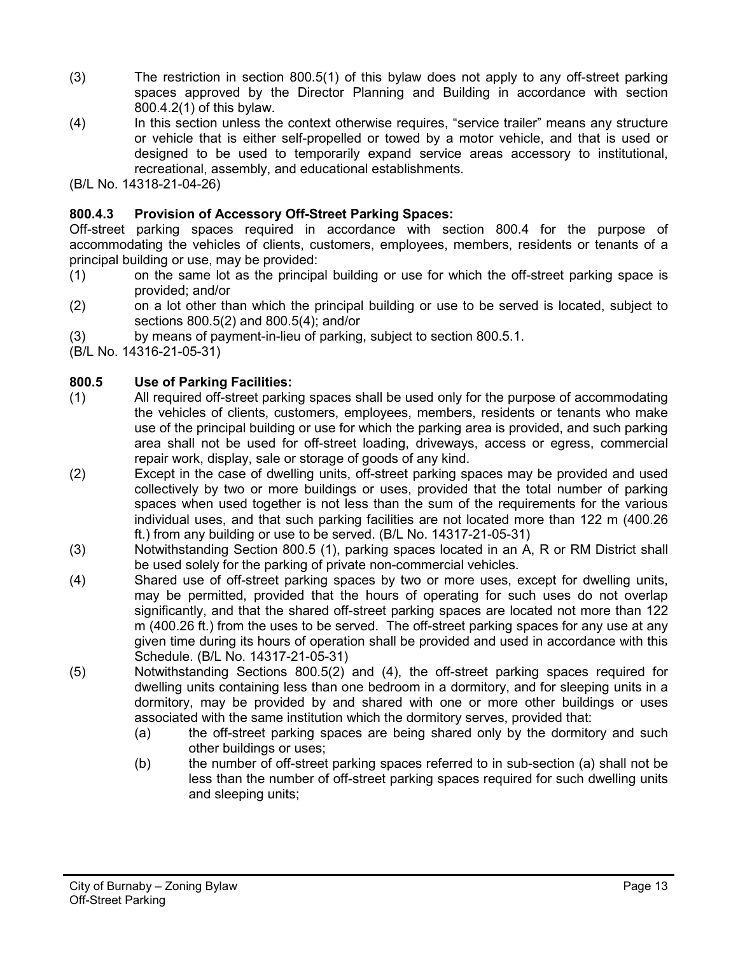- (3) The restriction in section 800.5(1) of this bylaw does not apply to any off-street parking spaces approved by the Director Planning and Building in accordance with section 800.4.2(1) of this bylaw.
- (4) In this section unless the context otherwise requires, "service trailer" means any structure or vehicle that is either self-propelled or towed by a motor vehicle, and that is used or designed to be used to temporarily expand service areas accessory to institutional, recreational, assembly, and educational establishments.

(B/L No. 14318-21-04-26)

## **800.4.3 Provision of Accessory Off-Street Parking Spaces:**

Off-street parking spaces required in accordance with section 800.4 for the purpose of accommodating the vehicles of clients, customers, employees, members, residents or tenants of a principal building or use, may be provided:

- (1) on the same lot as the principal building or use for which the off-street parking space is provided; and/or
- (2) on a lot other than which the principal building or use to be served is located, subject to sections 800.5(2) and 800.5(4); and/or
- (3) by means of payment-in-lieu of parking, subject to section 800.5.1.

(B/L No. 14316-21-05-31)

## **800.5 Use of Parking Facilities:**

- (1) All required off-street parking spaces shall be used only for the purpose of accommodating the vehicles of clients, customers, employees, members, residents or tenants who make use of the principal building or use for which the parking area is provided, and such parking area shall not be used for off-street loading, driveways, access or egress, commercial repair work, display, sale or storage of goods of any kind.
- (2) Except in the case of dwelling units, off-street parking spaces may be provided and used collectively by two or more buildings or uses, provided that the total number of parking spaces when used together is not less than the sum of the requirements for the various individual uses, and that such parking facilities are not located more than 122 m (400.26 ft.) from any building or use to be served. (B/L No. 14317-21-05-31)
- (3) Notwithstanding Section 800.5 (1), parking spaces located in an A, R or RM District shall be used solely for the parking of private non-commercial vehicles.
- (4) Shared use of off-street parking spaces by two or more uses, except for dwelling units, may be permitted, provided that the hours of operating for such uses do not overlap significantly, and that the shared off-street parking spaces are located not more than 122 m (400.26 ft.) from the uses to be served. The off-street parking spaces for any use at any given time during its hours of operation shall be provided and used in accordance with this Schedule. (B/L No. 14317-21-05-31)
- (5) Notwithstanding Sections 800.5(2) and (4), the off-street parking spaces required for dwelling units containing less than one bedroom in a dormitory, and for sleeping units in a dormitory, may be provided by and shared with one or more other buildings or uses associated with the same institution which the dormitory serves, provided that:
	- (a) the off-street parking spaces are being shared only by the dormitory and such other buildings or uses;
	- (b) the number of off-street parking spaces referred to in sub-section (a) shall not be less than the number of off-street parking spaces required for such dwelling units and sleeping units;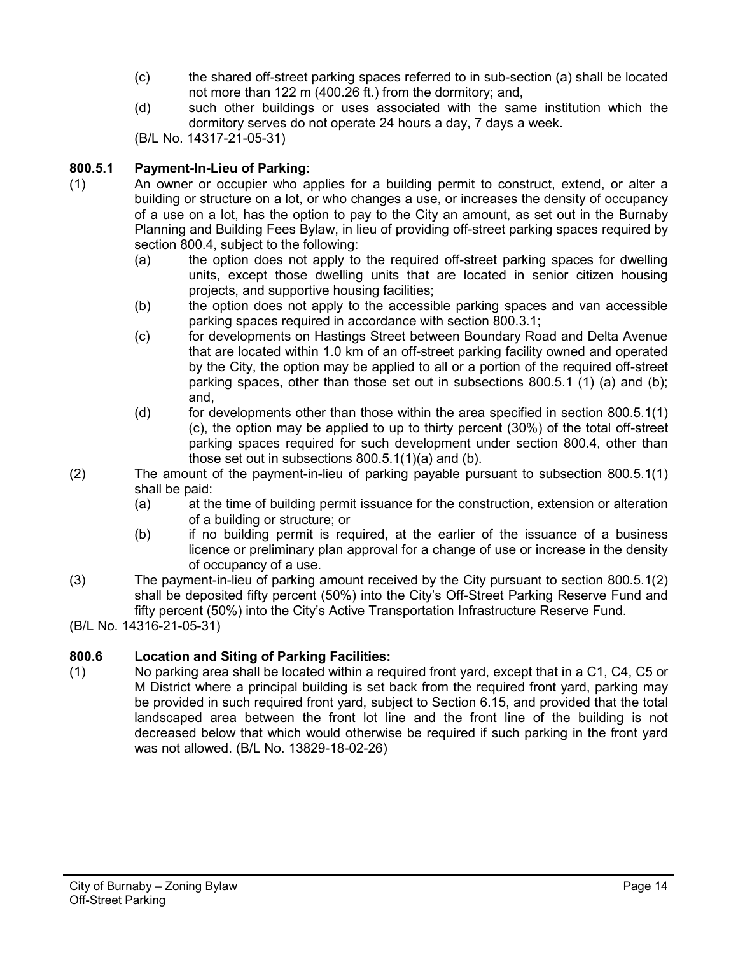- (c) the shared off-street parking spaces referred to in sub-section (a) shall be located not more than 122 m (400.26 ft.) from the dormitory; and,
- (d) such other buildings or uses associated with the same institution which the dormitory serves do not operate 24 hours a day, 7 days a week.

(B/L No. 14317-21-05-31)

# **800.5.1 Payment-In-Lieu of Parking:**

- (1) An owner or occupier who applies for a building permit to construct, extend, or alter a building or structure on a lot, or who changes a use, or increases the density of occupancy of a use on a lot, has the option to pay to the City an amount, as set out in the Burnaby Planning and Building Fees Bylaw, in lieu of providing off-street parking spaces required by section 800.4, subject to the following:
	- (a) the option does not apply to the required off-street parking spaces for dwelling units, except those dwelling units that are located in senior citizen housing projects, and supportive housing facilities;
	- (b) the option does not apply to the accessible parking spaces and van accessible parking spaces required in accordance with section 800.3.1;
	- (c) for developments on Hastings Street between Boundary Road and Delta Avenue that are located within 1.0 km of an off-street parking facility owned and operated by the City, the option may be applied to all or a portion of the required off-street parking spaces, other than those set out in subsections 800.5.1 (1) (a) and (b); and,
	- $(d)$  for developments other than those within the area specified in section 800.5.1(1) (c), the option may be applied to up to thirty percent (30%) of the total off-street parking spaces required for such development under section 800.4, other than those set out in subsections 800.5.1(1)(a) and (b).
- (2) The amount of the payment-in-lieu of parking payable pursuant to subsection 800.5.1(1) shall be paid:
	- (a) at the time of building permit issuance for the construction, extension or alteration of a building or structure; or
	- (b) if no building permit is required, at the earlier of the issuance of a business licence or preliminary plan approval for a change of use or increase in the density of occupancy of a use.
- (3) The payment-in-lieu of parking amount received by the City pursuant to section 800.5.1(2) shall be deposited fifty percent (50%) into the City's Off-Street Parking Reserve Fund and fifty percent (50%) into the City's Active Transportation Infrastructure Reserve Fund.
- (B/L No. 14316-21-05-31)

# **800.6 Location and Siting of Parking Facilities:**

(1) No parking area shall be located within a required front yard, except that in a C1, C4, C5 or M District where a principal building is set back from the required front yard, parking may be provided in such required front yard, subject to Section 6.15, and provided that the total landscaped area between the front lot line and the front line of the building is not decreased below that which would otherwise be required if such parking in the front yard was not allowed. (B/L No. 13829-18-02-26)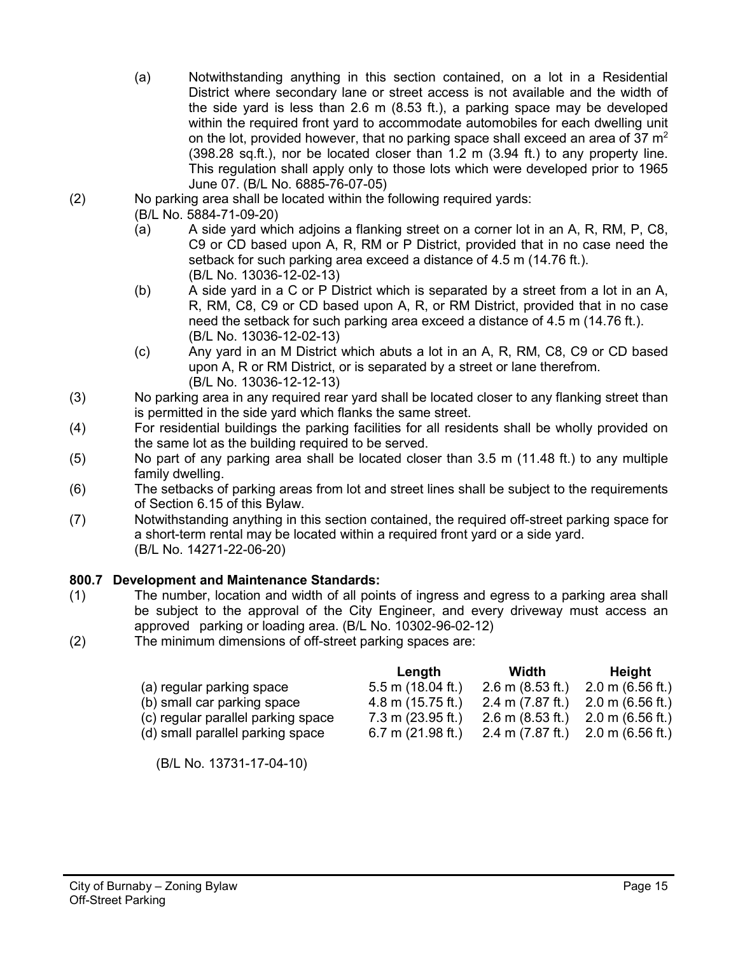- (a) Notwithstanding anything in this section contained, on a lot in a Residential District where secondary lane or street access is not available and the width of the side yard is less than 2.6 m (8.53 ft.), a parking space may be developed within the required front yard to accommodate automobiles for each dwelling unit on the lot, provided however, that no parking space shall exceed an area of 37  $m^2$ (398.28 sq.ft.), nor be located closer than 1.2 m (3.94 ft.) to any property line. This regulation shall apply only to those lots which were developed prior to 1965 June 07. (B/L No. 6885-76-07-05)
- (2) No parking area shall be located within the following required yards:
	- (B/L No. 5884-71-09-20)
	- (a) A side yard which adjoins a flanking street on a corner lot in an A, R, RM, P, C8, C9 or CD based upon A, R, RM or P District, provided that in no case need the setback for such parking area exceed a distance of 4.5 m (14.76 ft.). (B/L No. 13036-12-02-13)
	- (b) A side yard in a C or P District which is separated by a street from a lot in an A, R, RM, C8, C9 or CD based upon A, R, or RM District, provided that in no case need the setback for such parking area exceed a distance of 4.5 m (14.76 ft.). (B/L No. 13036-12-02-13)
	- (c) Any yard in an M District which abuts a lot in an A, R, RM, C8, C9 or CD based upon A, R or RM District, or is separated by a street or lane therefrom. (B/L No. 13036-12-12-13)
- (3) No parking area in any required rear yard shall be located closer to any flanking street than is permitted in the side yard which flanks the same street.
- (4) For residential buildings the parking facilities for all residents shall be wholly provided on the same lot as the building required to be served.
- (5) No part of any parking area shall be located closer than 3.5 m (11.48 ft.) to any multiple family dwelling.
- (6) The setbacks of parking areas from lot and street lines shall be subject to the requirements of Section 6.15 of this Bylaw.
- (7) Notwithstanding anything in this section contained, the required off-street parking space for a short-term rental may be located within a required front yard or a side yard. (B/L No. 14271-22-06-20)

## **800.7 Development and Maintenance Standards:**

- (1) The number, location and width of all points of ingress and egress to a parking area shall be subject to the approval of the City Engineer, and every driveway must access an approved parking or loading area. (B/L No. 10302-96-02-12)
- (2) The minimum dimensions of off-street parking spaces are:

|                                    | Length                      | Width                      | Height                     |
|------------------------------------|-----------------------------|----------------------------|----------------------------|
| (a) regular parking space          | $5.5$ m (18.04 ft.)         | $2.6 \text{ m}$ (8.53 ft.) | $2.0 \text{ m}$ (6.56 ft.) |
| (b) small car parking space        | $4.8$ m (15.75 ft.)         | 2.4 m $(7.87$ ft.)         | $2.0 \text{ m}$ (6.56 ft.) |
| (c) regular parallel parking space | $7.3 \text{ m}$ (23.95 ft.) | $2.6 \text{ m}$ (8.53 ft.) | $2.0 \text{ m}$ (6.56 ft.) |
| (d) small parallel parking space   | $6.7$ m $(21.98$ ft.)       | $2.4 \text{ m}$ (7.87 ft.) | $2.0 \text{ m}$ (6.56 ft.) |

(B/L No. 13731-17-04-10)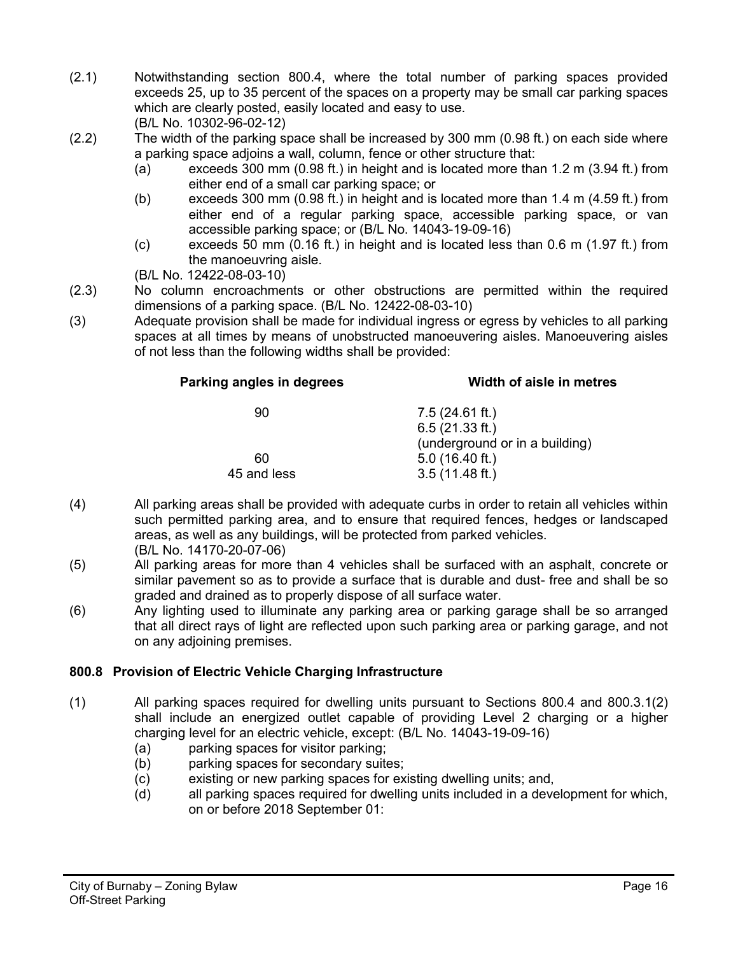- (2.1) Notwithstanding section 800.4, where the total number of parking spaces provided exceeds 25, up to 35 percent of the spaces on a property may be small car parking spaces which are clearly posted, easily located and easy to use. (B/L No. 10302-96-02-12)
- (2.2) The width of the parking space shall be increased by 300 mm (0.98 ft.) on each side where a parking space adjoins a wall, column, fence or other structure that:
	- (a) exceeds 300 mm (0.98 ft.) in height and is located more than 1.2 m (3.94 ft.) from either end of a small car parking space; or
	- (b) exceeds 300 mm (0.98 ft.) in height and is located more than 1.4 m (4.59 ft.) from either end of a regular parking space, accessible parking space, or van accessible parking space; or (B/L No. 14043-19-09-16)
	- (c) exceeds 50 mm (0.16 ft.) in height and is located less than 0.6 m (1.97 ft.) from the manoeuvring aisle.
	- (B/L No. 12422-08-03-10)
- (2.3) No column encroachments or other obstructions are permitted within the required dimensions of a parking space. (B/L No. 12422-08-03-10)
- (3) Adequate provision shall be made for individual ingress or egress by vehicles to all parking spaces at all times by means of unobstructed manoeuvering aisles. Manoeuvering aisles of not less than the following widths shall be provided:

| Width of aisle in metres       |  |
|--------------------------------|--|
| $7.5(24.61 \text{ ft.})$       |  |
| 6.5(21.33 ft.)                 |  |
| (underground or in a building) |  |
| $5.0$ (16.40 ft.)              |  |
| $3.5(11.48 \text{ ft.})$       |  |
|                                |  |

- (4) All parking areas shall be provided with adequate curbs in order to retain all vehicles within such permitted parking area, and to ensure that required fences, hedges or landscaped areas, as well as any buildings, will be protected from parked vehicles. (B/L No. 14170-20-07-06)
- (5) All parking areas for more than 4 vehicles shall be surfaced with an asphalt, concrete or similar pavement so as to provide a surface that is durable and dust- free and shall be so graded and drained as to properly dispose of all surface water.
- (6) Any lighting used to illuminate any parking area or parking garage shall be so arranged that all direct rays of light are reflected upon such parking area or parking garage, and not on any adjoining premises.

# **800.8 Provision of Electric Vehicle Charging Infrastructure**

- (1) All parking spaces required for dwelling units pursuant to Sections 800.4 and 800.3.1(2) shall include an energized outlet capable of providing Level 2 charging or a higher charging level for an electric vehicle, except: (B/L No. 14043-19-09-16)
	- (a) parking spaces for visitor parking;
	- (b) parking spaces for secondary suites;
	- (c) existing or new parking spaces for existing dwelling units; and,
	- (d) all parking spaces required for dwelling units included in a development for which, on or before 2018 September 01: